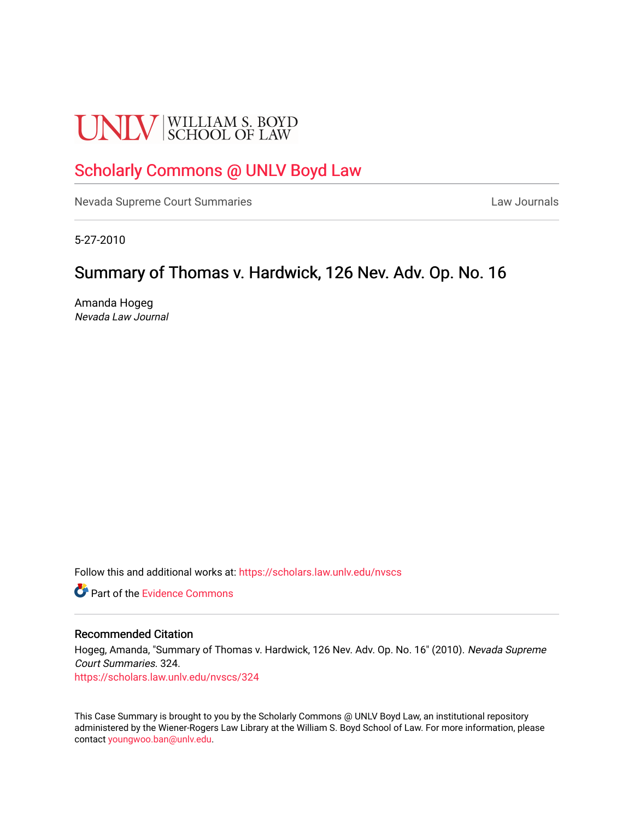# **UNLV** SCHOOL OF LAW

# [Scholarly Commons @ UNLV Boyd Law](https://scholars.law.unlv.edu/)

[Nevada Supreme Court Summaries](https://scholars.law.unlv.edu/nvscs) **Law Journals** Law Journals

5-27-2010

# Summary of Thomas v. Hardwick, 126 Nev. Adv. Op. No. 16

Amanda Hogeg Nevada Law Journal

Follow this and additional works at: [https://scholars.law.unlv.edu/nvscs](https://scholars.law.unlv.edu/nvscs?utm_source=scholars.law.unlv.edu%2Fnvscs%2F324&utm_medium=PDF&utm_campaign=PDFCoverPages)

**C** Part of the Evidence Commons

#### Recommended Citation

Hogeg, Amanda, "Summary of Thomas v. Hardwick, 126 Nev. Adv. Op. No. 16" (2010). Nevada Supreme Court Summaries. 324.

[https://scholars.law.unlv.edu/nvscs/324](https://scholars.law.unlv.edu/nvscs/324?utm_source=scholars.law.unlv.edu%2Fnvscs%2F324&utm_medium=PDF&utm_campaign=PDFCoverPages)

This Case Summary is brought to you by the Scholarly Commons @ UNLV Boyd Law, an institutional repository administered by the Wiener-Rogers Law Library at the William S. Boyd School of Law. For more information, please contact [youngwoo.ban@unlv.edu](mailto:youngwoo.ban@unlv.edu).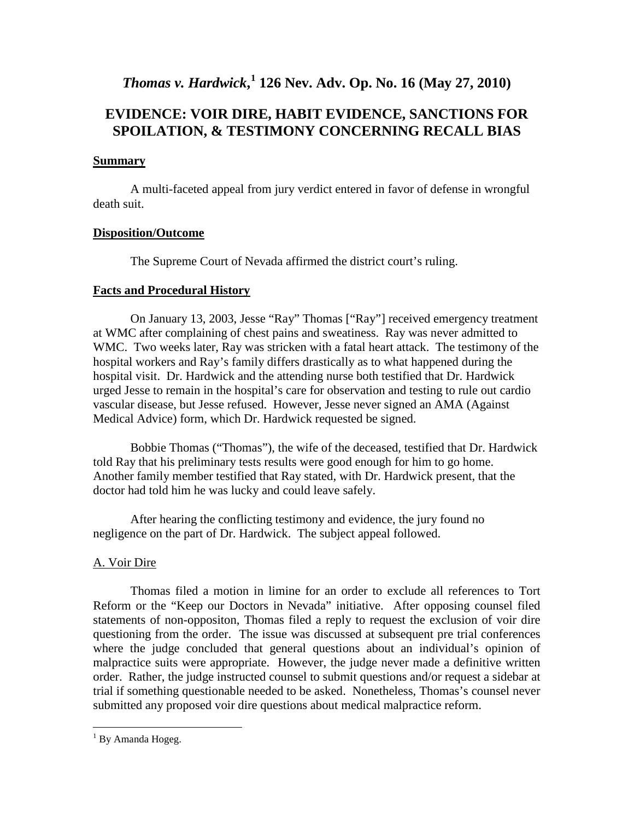*Thomas v. Hardwick***, [1](#page-1-0) 126 Nev. Adv. Op. No. 16 (May 27, 2010)**

## **EVIDENCE: VOIR DIRE, HABIT EVIDENCE, SANCTIONS FOR SPOILATION, & TESTIMONY CONCERNING RECALL BIAS**

## **Summary**

A multi-faceted appeal from jury verdict entered in favor of defense in wrongful death suit.

## **Disposition/Outcome**

The Supreme Court of Nevada affirmed the district court's ruling.

## **Facts and Procedural History**

On January 13, 2003, Jesse "Ray" Thomas ["Ray"] received emergency treatment at WMC after complaining of chest pains and sweatiness. Ray was never admitted to WMC. Two weeks later, Ray was stricken with a fatal heart attack. The testimony of the hospital workers and Ray's family differs drastically as to what happened during the hospital visit. Dr. Hardwick and the attending nurse both testified that Dr. Hardwick urged Jesse to remain in the hospital's care for observation and testing to rule out cardio vascular disease, but Jesse refused. However, Jesse never signed an AMA (Against Medical Advice) form, which Dr. Hardwick requested be signed.

Bobbie Thomas ("Thomas"), the wife of the deceased, testified that Dr. Hardwick told Ray that his preliminary tests results were good enough for him to go home. Another family member testified that Ray stated, with Dr. Hardwick present, that the doctor had told him he was lucky and could leave safely.

After hearing the conflicting testimony and evidence, the jury found no negligence on the part of Dr. Hardwick. The subject appeal followed.

## A. Voir Dire

Thomas filed a motion in limine for an order to exclude all references to Tort Reform or the "Keep our Doctors in Nevada" initiative. After opposing counsel filed statements of non-oppositon, Thomas filed a reply to request the exclusion of voir dire questioning from the order. The issue was discussed at subsequent pre trial conferences where the judge concluded that general questions about an individual's opinion of malpractice suits were appropriate. However, the judge never made a definitive written order. Rather, the judge instructed counsel to submit questions and/or request a sidebar at trial if something questionable needed to be asked. Nonetheless, Thomas's counsel never submitted any proposed voir dire questions about medical malpractice reform.

<span id="page-1-0"></span> $1$  By Amanda Hogeg.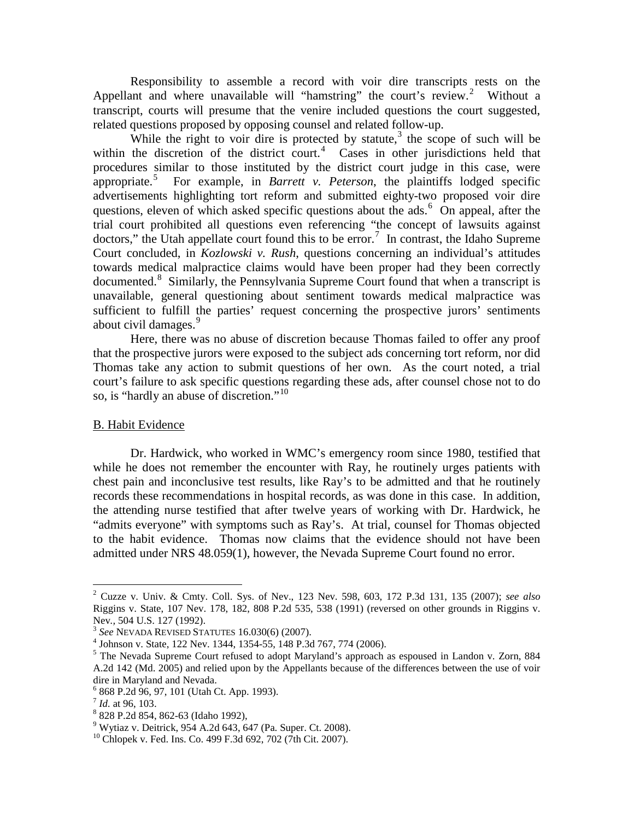Responsibility to assemble a record with voir dire transcripts rests on the Appellant and where unavailable will "hamstring" the court's review.<sup>[2](#page-2-0)</sup> Without a transcript, courts will presume that the venire included questions the court suggested, related questions proposed by opposing counsel and related follow-up.

While the right to voir dire is protected by statute, $3$  the scope of such will be within the discretion of the district court. $4$  Cases in other jurisdictions held that procedures similar to those instituted by the district court judge in this case, were appropriate. [5](#page-2-3) For example, in *Barrett v. Peterson*, the plaintiffs lodged specific advertisements highlighting tort reform and submitted eighty-two proposed voir dire questions, eleven of which asked specific questions about the ads.<sup>[6](#page-2-4)</sup> On appeal, after the trial court prohibited all questions even referencing "the concept of lawsuits against doctors," the Utah appellate court found this to be error.<sup>[7](#page-2-5)</sup> In contrast, the Idaho Supreme Court concluded, in *Kozlowski v. Rush*, questions concerning an individual's attitudes towards medical malpractice claims would have been proper had they been correctly documented.<sup>[8](#page-2-6)</sup> Similarly, the Pennsylvania Supreme Court found that when a transcript is unavailable, general questioning about sentiment towards medical malpractice was sufficient to fulfill the parties' request concerning the prospective jurors' sentiments about civil damages.<sup>[9](#page-2-7)</sup>

Here, there was no abuse of discretion because Thomas failed to offer any proof that the prospective jurors were exposed to the subject ads concerning tort reform, nor did Thomas take any action to submit questions of her own. As the court noted, a trial court's failure to ask specific questions regarding these ads, after counsel chose not to do so, is "hardly an abuse of discretion."<sup>[10](#page-2-8)</sup>

## B. Habit Evidence

Dr. Hardwick, who worked in WMC's emergency room since 1980, testified that while he does not remember the encounter with Ray, he routinely urges patients with chest pain and inconclusive test results, like Ray's to be admitted and that he routinely records these recommendations in hospital records, as was done in this case. In addition, the attending nurse testified that after twelve years of working with Dr. Hardwick, he "admits everyone" with symptoms such as Ray's. At trial, counsel for Thomas objected to the habit evidence. Thomas now claims that the evidence should not have been admitted under NRS 48.059(1), however, the Nevada Supreme Court found no error.

<span id="page-2-0"></span> <sup>2</sup> Cuzze v. Univ. & Cmty. Coll. Sys. of Nev., 123 Nev. 598, 603, 172 P.3d 131, 135 (2007); *see also* Riggins v. State, 107 Nev. 178, 182, 808 P.2d 535, 538 (1991) (reversed on other grounds in Riggins v.

<span id="page-2-3"></span>

<span id="page-2-2"></span><span id="page-2-1"></span><sup>&</sup>lt;sup>3</sup> See NEVADA REVISED STATUTES 16.030(6) (2007).<br>
<sup>4</sup> Johnson v. State, 122 Nev. 1344, 1354-55, 148 P.3d 767, 774 (2006).<br>
<sup>5</sup> The Nevada Supreme Court refused to adopt Maryland's approach as espoused in Landon v. Zorn, A.2d 142 (Md. 2005) and relied upon by the Appellants because of the differences between the use of voir dire in Maryland and Nevada.

<span id="page-2-4"></span> $^6$  868 P.2d 96, 97, 101 (Utah Ct. App. 1993).<br> $^7$  Id. at 96, 103.

<span id="page-2-7"></span><span id="page-2-6"></span><span id="page-2-5"></span><sup>&</sup>lt;sup>8</sup> 828 P.2d 854, 862-63 (Idaho 1992),<br><sup>9</sup> Wytiaz v. Deitrick, 954 A.2d 643, 647 (Pa. Super. Ct. 2008).<br><sup>10</sup> Chlopek v. Fed. Ins. Co. 499 F.3d 692, 702 (7th Cit. 2007).

<span id="page-2-8"></span>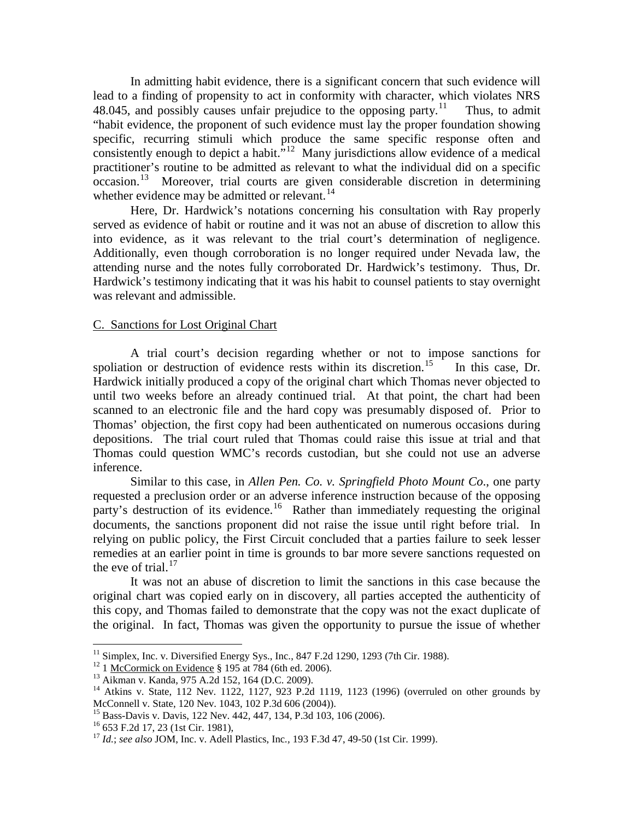In admitting habit evidence, there is a significant concern that such evidence will lead to a finding of propensity to act in conformity with character, which violates NRS 48.045, and possibly causes unfair prejudice to the opposing party.<sup>[11](#page-3-0)</sup> Thus, to admit "habit evidence, the proponent of such evidence must lay the proper foundation showing specific, recurring stimuli which produce the same specific response often and consistently enough to depict a habit."<sup>12</sup> Many jurisdictions allow evidence of a medical practitioner's routine to be admitted as relevant to what the individual did on a specific occasion. [13](#page-3-2) Moreover, trial courts are given considerable discretion in determining whether evidence may be admitted or relevant.<sup>[14](#page-3-3)</sup>

Here, Dr. Hardwick's notations concerning his consultation with Ray properly served as evidence of habit or routine and it was not an abuse of discretion to allow this into evidence, as it was relevant to the trial court's determination of negligence. Additionally, even though corroboration is no longer required under Nevada law, the attending nurse and the notes fully corroborated Dr. Hardwick's testimony. Thus, Dr. Hardwick's testimony indicating that it was his habit to counsel patients to stay overnight was relevant and admissible.

#### C. Sanctions for Lost Original Chart

A trial court's decision regarding whether or not to impose sanctions for spoliation or destruction of evidence rests within its discretion.<sup>[15](#page-3-4)</sup> In this case, Dr. Hardwick initially produced a copy of the original chart which Thomas never objected to until two weeks before an already continued trial. At that point, the chart had been scanned to an electronic file and the hard copy was presumably disposed of. Prior to Thomas' objection, the first copy had been authenticated on numerous occasions during depositions. The trial court ruled that Thomas could raise this issue at trial and that Thomas could question WMC's records custodian, but she could not use an adverse inference.

Similar to this case, in *Allen Pen. Co. v. Springfield Photo Mount Co*., one party requested a preclusion order or an adverse inference instruction because of the opposing party's destruction of its evidence.<sup>[16](#page-3-5)</sup> Rather than immediately requesting the original documents, the sanctions proponent did not raise the issue until right before trial*.* In relying on public policy, the First Circuit concluded that a parties failure to seek lesser remedies at an earlier point in time is grounds to bar more severe sanctions requested on the eve of trial. $17$ 

It was not an abuse of discretion to limit the sanctions in this case because the original chart was copied early on in discovery, all parties accepted the authenticity of this copy, and Thomas failed to demonstrate that the copy was not the exact duplicate of the original. In fact, Thomas was given the opportunity to pursue the issue of whether

<span id="page-3-2"></span>

<span id="page-3-1"></span><span id="page-3-0"></span><sup>&</sup>lt;sup>11</sup> Simplex, Inc. v. Diversified Energy Sys., Inc., 847 F.2d 1290, 1293 (7th Cir. 1988).<br><sup>12</sup> 1 <u>McCormick on Evidence</u> § 195 at 784 (6th ed. 2006).<br><sup>13</sup> Aikman v. Kanda, 975 A.2d 152, 164 (D.C. 2009).<br><sup>14</sup> Atkins v. Sta

<span id="page-3-6"></span>

<span id="page-3-5"></span><span id="page-3-4"></span><span id="page-3-3"></span><sup>&</sup>lt;sup>15</sup> Bass-Davis v. Davis, 122 Nev. 442, 447, 134, P.3d 103, 106 (2006).<br><sup>16</sup> 653 F.2d 17, 23 (1st Cir. 1981),<br><sup>17</sup> *Id.; see also* JOM, Inc. v. Adell Plastics, Inc., 193 F.3d 47, 49-50 (1st Cir. 1999).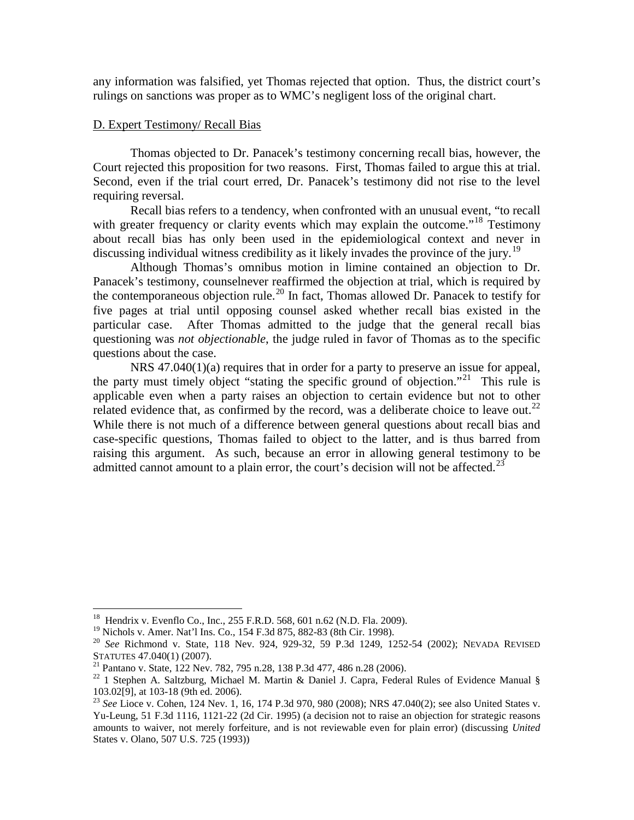any information was falsified, yet Thomas rejected that option. Thus, the district court's rulings on sanctions was proper as to WMC's negligent loss of the original chart.

## D. Expert Testimony/ Recall Bias

Thomas objected to Dr. Panacek's testimony concerning recall bias, however, the Court rejected this proposition for two reasons. First, Thomas failed to argue this at trial. Second, even if the trial court erred, Dr. Panacek's testimony did not rise to the level requiring reversal.

Recall bias refers to a tendency, when confronted with an unusual event, "to recall with greater frequency or clarity events which may explain the outcome."<sup>[18](#page-4-0)</sup> Testimony about recall bias has only been used in the epidemiological context and never in discussing individual witness credibility as it likely invades the province of the jury.<sup>[19](#page-4-1)</sup>

Although Thomas's omnibus motion in limine contained an objection to Dr. Panacek's testimony, counselnever reaffirmed the objection at trial, which is required by the contemporaneous objection rule.<sup>[20](#page-4-2)</sup> In fact, Thomas allowed Dr. Panacek to testify for five pages at trial until opposing counsel asked whether recall bias existed in the particular case. After Thomas admitted to the judge that the general recall bias questioning was *not objectionable*, the judge ruled in favor of Thomas as to the specific questions about the case.

NRS 47.040(1)(a) requires that in order for a party to preserve an issue for appeal, the party must timely object "stating the specific ground of objection."<sup>[21](#page-4-3)</sup> This rule is applicable even when a party raises an objection to certain evidence but not to other related evidence that, as confirmed by the record, was a deliberate choice to leave out.<sup>[22](#page-4-4)</sup> While there is not much of a difference between general questions about recall bias and case-specific questions, Thomas failed to object to the latter, and is thus barred from raising this argument. As such, because an error in allowing general testimony to be admitted cannot amount to a plain error, the court's decision will not be affected.<sup>[23](#page-4-5)</sup>

<span id="page-4-0"></span><sup>&</sup>lt;sup>18</sup> Hendrix v. Evenflo Co., Inc., 255 F.R.D. 568, 601 n.62 (N.D. Fla. 2009).<br><sup>19</sup> Nichols v. Amer. Nat'l Ins. Co., 154 F.3d 875, 882-83 (8th Cir. 1998).

<span id="page-4-2"></span><span id="page-4-1"></span><sup>&</sup>lt;sup>20</sup> See Richmond v. State, 118 Nev. 924, 929-32, 59 P.3d 1249, 1252-54 (2002); NEVADA REVISED STATUTES 47.040(1) (2007).

<span id="page-4-4"></span><span id="page-4-3"></span><sup>&</sup>lt;sup>21</sup> Pantano v. State, 122 Nev. 782, 795 n.28, 138 P.3d 477, 486 n.28 (2006).<br><sup>22</sup> 1 Stephen A. Saltzburg, Michael M. Martin & Daniel J. Capra, Federal Rules of Evidence Manual § 103.02[9], at 103-18 (9th ed. 2006).

<span id="page-4-5"></span><sup>&</sup>lt;sup>23</sup> See Lioce v. Cohen, 124 Nev. 1, 16, 174 P.3d 970, 980 (2008); NRS 47.040(2); see also United States v. Yu-Leung, 51 F.3d 1116, 1121-22 (2d Cir. 1995) (a decision not to raise an objection for strategic reasons amounts to waiver, not merely forfeiture, and is not reviewable even for plain error) (discussing *United*  States v. Olano, 507 U.S. 725 (1993))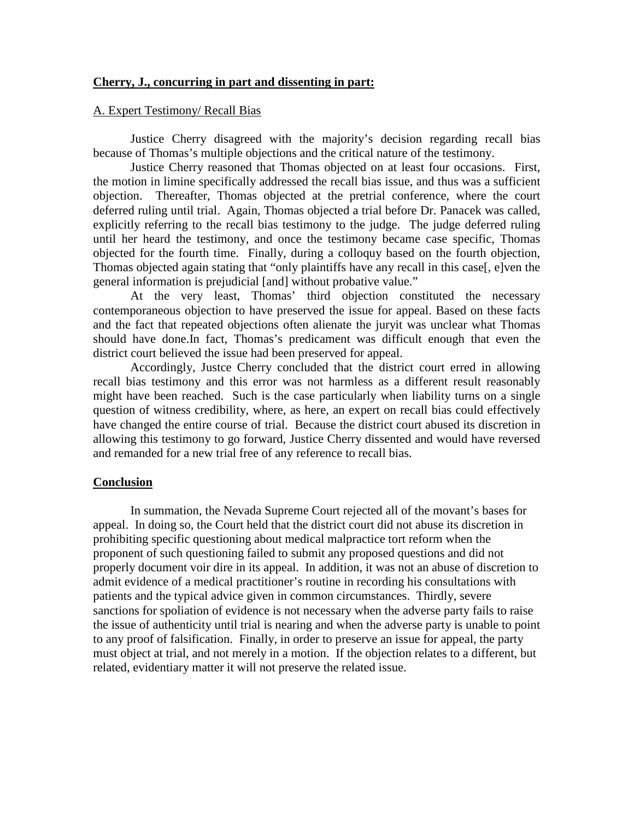## **Cherry, J., concurring in part and dissenting in part:**

## A. Expert Testimony/ Recall Bias

Justice Cherry disagreed with the majority's decision regarding recall bias because of Thomas's multiple objections and the critical nature of the testimony.

Justice Cherry reasoned that Thomas objected on at least four occasions. First, the motion in limine specifically addressed the recall bias issue, and thus was a sufficient objection. Thereafter, Thomas objected at the pretrial conference, where the court deferred ruling until trial. Again, Thomas objected a trial before Dr. Panacek was called, explicitly referring to the recall bias testimony to the judge. The judge deferred ruling until her heard the testimony, and once the testimony became case specific, Thomas objected for the fourth time. Finally, during a colloquy based on the fourth objection, Thomas objected again stating that "only plaintiffs have any recall in this case[, e]ven the general information is prejudicial [and] without probative value."

At the very least, Thomas' third objection constituted the necessary contemporaneous objection to have preserved the issue for appeal. Based on these facts and the fact that repeated objections often alienate the juryit was unclear what Thomas should have done.In fact, Thomas's predicament was difficult enough that even the district court believed the issue had been preserved for appeal.

Accordingly, Justce Cherry concluded that the district court erred in allowing recall bias testimony and this error was not harmless as a different result reasonably might have been reached. Such is the case particularly when liability turns on a single question of witness credibility, where, as here, an expert on recall bias could effectively have changed the entire course of trial. Because the district court abused its discretion in allowing this testimony to go forward, Justice Cherry dissented and would have reversed and remanded for a new trial free of any reference to recall bias.

## **Conclusion**

In summation, the Nevada Supreme Court rejected all of the movant's bases for appeal. In doing so, the Court held that the district court did not abuse its discretion in prohibiting specific questioning about medical malpractice tort reform when the proponent of such questioning failed to submit any proposed questions and did not properly document voir dire in its appeal. In addition, it was not an abuse of discretion to admit evidence of a medical practitioner's routine in recording his consultations with patients and the typical advice given in common circumstances. Thirdly, severe sanctions for spoliation of evidence is not necessary when the adverse party fails to raise the issue of authenticity until trial is nearing and when the adverse party is unable to point to any proof of falsification. Finally, in order to preserve an issue for appeal, the party must object at trial, and not merely in a motion. If the objection relates to a different, but related, evidentiary matter it will not preserve the related issue.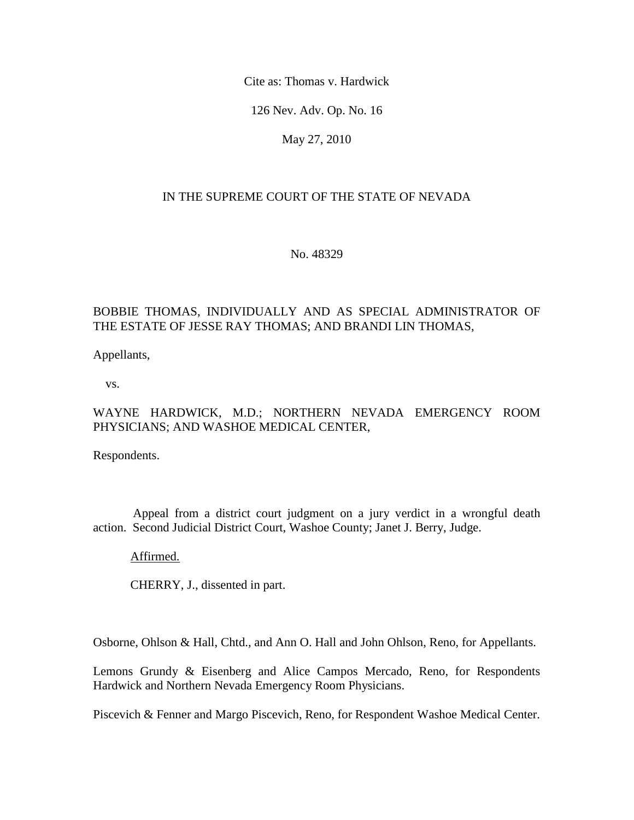Cite as: Thomas v. Hardwick

126 Nev. Adv. Op. No. 16

May 27, 2010

## IN THE SUPREME COURT OF THE STATE OF NEVADA

No. 48329

## BOBBIE THOMAS, INDIVIDUALLY AND AS SPECIAL ADMINISTRATOR OF THE ESTATE OF JESSE RAY THOMAS; AND BRANDI LIN THOMAS,

Appellants,

vs.

## WAYNE HARDWICK, M.D.; NORTHERN NEVADA EMERGENCY ROOM PHYSICIANS; AND WASHOE MEDICAL CENTER,

Respondents.

 Appeal from a district court judgment on a jury verdict in a wrongful death action. Second Judicial District Court, Washoe County; Janet J. Berry, Judge.

Affirmed.

CHERRY, J., dissented in part.

Osborne, Ohlson & Hall, Chtd., and Ann O. Hall and John Ohlson, Reno, for Appellants.

Lemons Grundy & Eisenberg and Alice Campos Mercado, Reno, for Respondents Hardwick and Northern Nevada Emergency Room Physicians.

Piscevich & Fenner and Margo Piscevich, Reno, for Respondent Washoe Medical Center.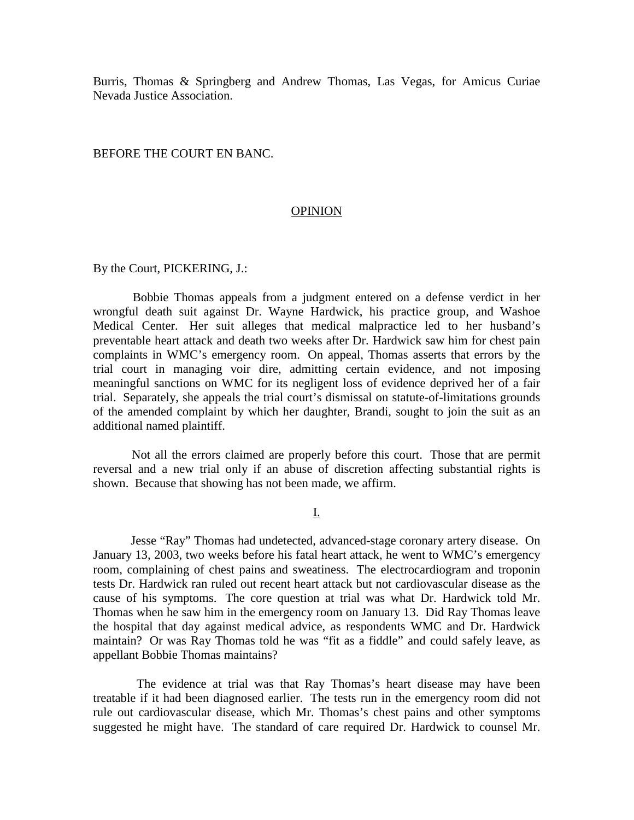Burris, Thomas & Springberg and Andrew Thomas, Las Vegas, for Amicus Curiae Nevada Justice Association.

#### BEFORE THE COURT EN BANC.

#### **OPINION**

By the Court, PICKERING, J.:

 Bobbie Thomas appeals from a judgment entered on a defense verdict in her wrongful death suit against Dr. Wayne Hardwick, his practice group, and Washoe Medical Center. Her suit alleges that medical malpractice led to her husband's preventable heart attack and death two weeks after Dr. Hardwick saw him for chest pain complaints in WMC's emergency room. On appeal, Thomas asserts that errors by the trial court in managing voir dire, admitting certain evidence, and not imposing meaningful sanctions on WMC for its negligent loss of evidence deprived her of a fair trial. Separately, she appeals the trial court's dismissal on statute-of-limitations grounds of the amended complaint by which her daughter, Brandi, sought to join the suit as an additional named plaintiff.

 Not all the errors claimed are properly before this court. Those that are permit reversal and a new trial only if an abuse of discretion affecting substantial rights is shown. Because that showing has not been made, we affirm.

I.

 Jesse "Ray" Thomas had undetected, advanced-stage coronary artery disease. On January 13, 2003, two weeks before his fatal heart attack, he went to WMC's emergency room, complaining of chest pains and sweatiness. The electrocardiogram and troponin tests Dr. Hardwick ran ruled out recent heart attack but not cardiovascular disease as the cause of his symptoms. The core question at trial was what Dr. Hardwick told Mr. Thomas when he saw him in the emergency room on January 13. Did Ray Thomas leave the hospital that day against medical advice, as respondents WMC and Dr. Hardwick maintain? Or was Ray Thomas told he was "fit as a fiddle" and could safely leave, as appellant Bobbie Thomas maintains?

 The evidence at trial was that Ray Thomas's heart disease may have been treatable if it had been diagnosed earlier. The tests run in the emergency room did not rule out cardiovascular disease, which Mr. Thomas's chest pains and other symptoms suggested he might have. The standard of care required Dr. Hardwick to counsel Mr.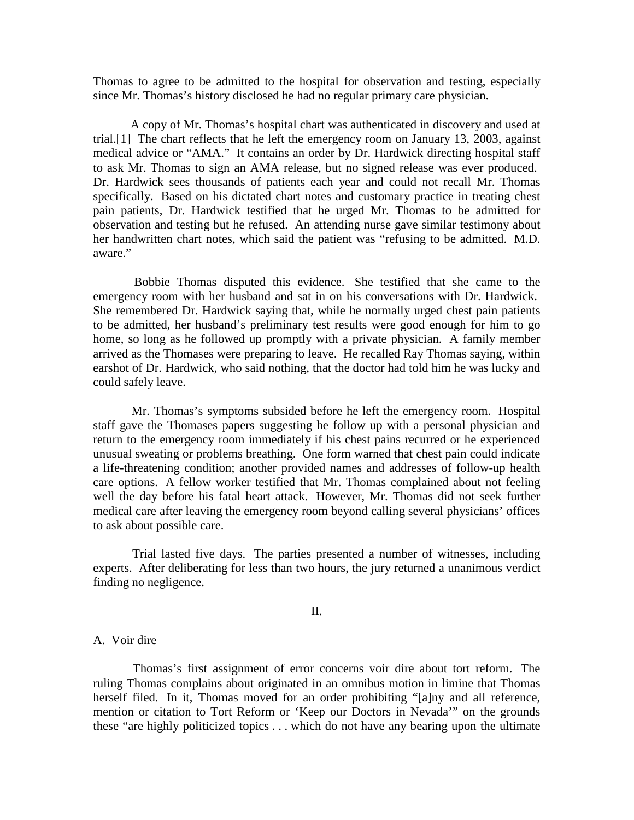Thomas to agree to be admitted to the hospital for observation and testing, especially since Mr. Thomas's history disclosed he had no regular primary care physician.

 A copy of Mr. Thomas's hospital chart was authenticated in discovery and used at trial.[1] The chart reflects that he left the emergency room on January 13, 2003, against medical advice or "AMA." It contains an order by Dr. Hardwick directing hospital staff to ask Mr. Thomas to sign an AMA release, but no signed release was ever produced. Dr. Hardwick sees thousands of patients each year and could not recall Mr. Thomas specifically. Based on his dictated chart notes and customary practice in treating chest pain patients, Dr. Hardwick testified that he urged Mr. Thomas to be admitted for observation and testing but he refused. An attending nurse gave similar testimony about her handwritten chart notes, which said the patient was "refusing to be admitted. M.D. aware."

 Bobbie Thomas disputed this evidence. She testified that she came to the emergency room with her husband and sat in on his conversations with Dr. Hardwick. She remembered Dr. Hardwick saying that, while he normally urged chest pain patients to be admitted, her husband's preliminary test results were good enough for him to go home, so long as he followed up promptly with a private physician. A family member arrived as the Thomases were preparing to leave. He recalled Ray Thomas saying, within earshot of Dr. Hardwick, who said nothing, that the doctor had told him he was lucky and could safely leave.

 Mr. Thomas's symptoms subsided before he left the emergency room. Hospital staff gave the Thomases papers suggesting he follow up with a personal physician and return to the emergency room immediately if his chest pains recurred or he experienced unusual sweating or problems breathing. One form warned that chest pain could indicate a life-threatening condition; another provided names and addresses of follow-up health care options. A fellow worker testified that Mr. Thomas complained about not feeling well the day before his fatal heart attack. However, Mr. Thomas did not seek further medical care after leaving the emergency room beyond calling several physicians' offices to ask about possible care.

 Trial lasted five days. The parties presented a number of witnesses, including experts. After deliberating for less than two hours, the jury returned a unanimous verdict finding no negligence.

## II.

#### A. Voir dire

 Thomas's first assignment of error concerns voir dire about tort reform. The ruling Thomas complains about originated in an omnibus motion in limine that Thomas herself filed. In it, Thomas moved for an order prohibiting "[a]ny and all reference, mention or citation to Tort Reform or 'Keep our Doctors in Nevada'" on the grounds these "are highly politicized topics . . . which do not have any bearing upon the ultimate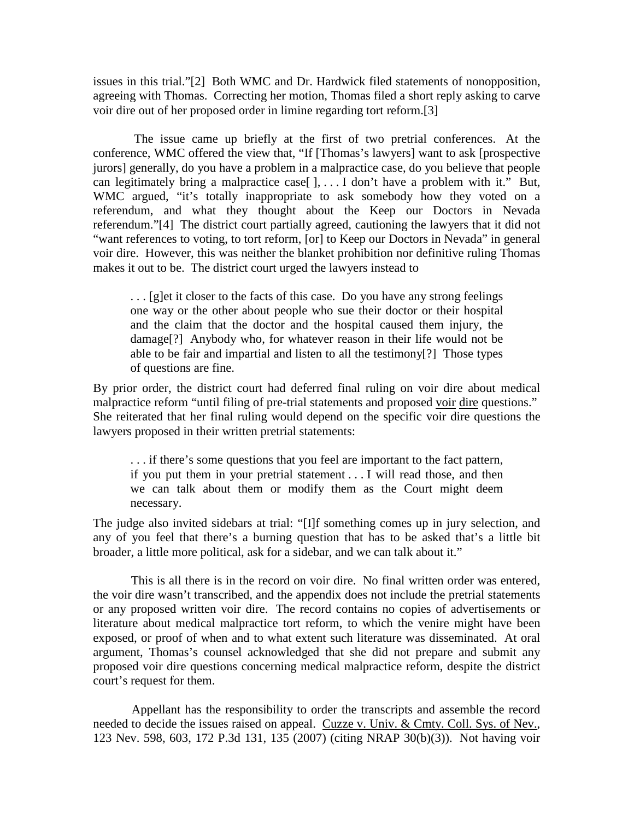issues in this trial."[2] Both WMC and Dr. Hardwick filed statements of nonopposition, agreeing with Thomas. Correcting her motion, Thomas filed a short reply asking to carve voir dire out of her proposed order in limine regarding tort reform.[3]

 The issue came up briefly at the first of two pretrial conferences. At the conference, WMC offered the view that, "If [Thomas's lawyers] want to ask [prospective jurors] generally, do you have a problem in a malpractice case, do you believe that people can legitimately bring a malpractice case[ ], . . . I don't have a problem with it." But, WMC argued, "it's totally inappropriate to ask somebody how they voted on a referendum, and what they thought about the Keep our Doctors in Nevada referendum."[4] The district court partially agreed, cautioning the lawyers that it did not "want references to voting, to tort reform, [or] to Keep our Doctors in Nevada" in general voir dire. However, this was neither the blanket prohibition nor definitive ruling Thomas makes it out to be. The district court urged the lawyers instead to

... [g]et it closer to the facts of this case. Do you have any strong feelings one way or the other about people who sue their doctor or their hospital and the claim that the doctor and the hospital caused them injury, the damage[?] Anybody who, for whatever reason in their life would not be able to be fair and impartial and listen to all the testimony[?] Those types of questions are fine.

By prior order, the district court had deferred final ruling on voir dire about medical malpractice reform "until filing of pre-trial statements and proposed voir dire questions." She reiterated that her final ruling would depend on the specific voir dire questions the lawyers proposed in their written pretrial statements:

. . . if there's some questions that you feel are important to the fact pattern, if you put them in your pretrial statement . . . I will read those, and then we can talk about them or modify them as the Court might deem necessary.

The judge also invited sidebars at trial: "[I]f something comes up in jury selection, and any of you feel that there's a burning question that has to be asked that's a little bit broader, a little more political, ask for a sidebar, and we can talk about it."

 This is all there is in the record on voir dire. No final written order was entered, the voir dire wasn't transcribed, and the appendix does not include the pretrial statements or any proposed written voir dire. The record contains no copies of advertisements or literature about medical malpractice tort reform, to which the venire might have been exposed, or proof of when and to what extent such literature was disseminated. At oral argument, Thomas's counsel acknowledged that she did not prepare and submit any proposed voir dire questions concerning medical malpractice reform, despite the district court's request for them.

 Appellant has the responsibility to order the transcripts and assemble the record needed to decide the issues raised on appeal. Cuzze v. Univ. & Cmty. Coll. Sys. of Nev., 123 Nev. 598, 603, 172 P.3d 131, 135 (2007) (citing NRAP 30(b)(3)). Not having voir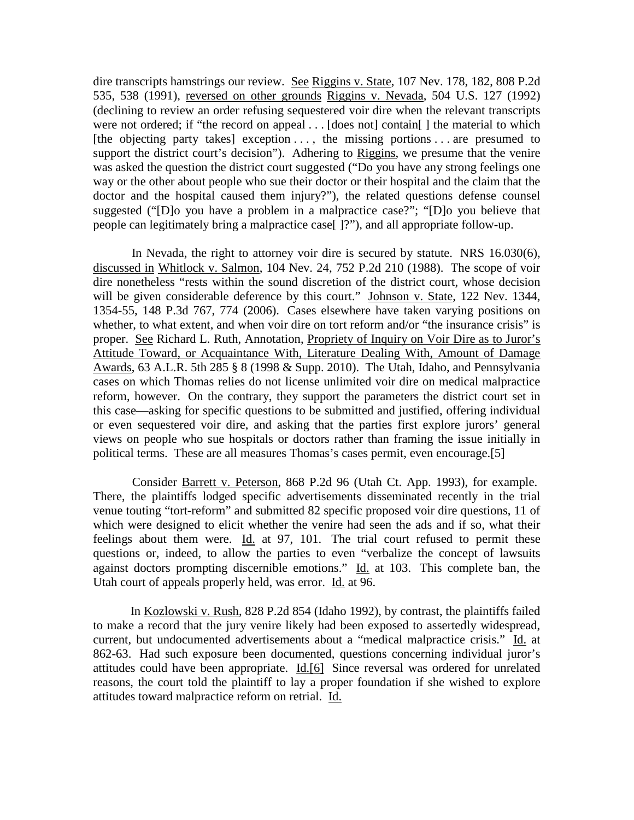dire transcripts hamstrings our review. See Riggins v. State, 107 Nev. 178, 182, 808 P.2d 535, 538 (1991), reversed on other grounds Riggins v. Nevada, 504 U.S. 127 (1992) (declining to review an order refusing sequestered voir dire when the relevant transcripts were not ordered; if "the record on appeal . . . [does not] contain[] the material to which [the objecting party takes] exception  $\dots$ , the missing portions  $\dots$  are presumed to support the district court's decision"). Adhering to Riggins, we presume that the venire was asked the question the district court suggested ("Do you have any strong feelings one way or the other about people who sue their doctor or their hospital and the claim that the doctor and the hospital caused them injury?"), the related questions defense counsel suggested ("[D]o you have a problem in a malpractice case?"; "[D]o you believe that people can legitimately bring a malpractice case[ ]?"), and all appropriate follow-up.

 In Nevada, the right to attorney voir dire is secured by statute. NRS 16.030(6), discussed in Whitlock v. Salmon, 104 Nev. 24, 752 P.2d 210 (1988). The scope of voir dire nonetheless "rests within the sound discretion of the district court, whose decision will be given considerable deference by this court." Johnson v. State, 122 Nev. 1344, 1354-55, 148 P.3d 767, 774 (2006). Cases elsewhere have taken varying positions on whether, to what extent, and when voir dire on tort reform and/or "the insurance crisis" is proper. See Richard L. Ruth, Annotation, Propriety of Inquiry on Voir Dire as to Juror's Attitude Toward, or Acquaintance With, Literature Dealing With, Amount of Damage Awards, 63 A.L.R. 5th 285 § 8 (1998 & Supp. 2010). The Utah, Idaho, and Pennsylvania cases on which Thomas relies do not license unlimited voir dire on medical malpractice reform, however. On the contrary, they support the parameters the district court set in this case—asking for specific questions to be submitted and justified, offering individual or even sequestered voir dire, and asking that the parties first explore jurors' general views on people who sue hospitals or doctors rather than framing the issue initially in political terms. These are all measures Thomas's cases permit, even encourage.[5]

 Consider Barrett v. Peterson, 868 P.2d 96 (Utah Ct. App. 1993), for example. There, the plaintiffs lodged specific advertisements disseminated recently in the trial venue touting "tort-reform" and submitted 82 specific proposed voir dire questions, 11 of which were designed to elicit whether the venire had seen the ads and if so, what their feelings about them were. Id. at 97, 101. The trial court refused to permit these questions or, indeed, to allow the parties to even "verbalize the concept of lawsuits against doctors prompting discernible emotions." Id. at 103. This complete ban, the Utah court of appeals properly held, was error. Id. at 96.

 In Kozlowski v. Rush, 828 P.2d 854 (Idaho 1992), by contrast, the plaintiffs failed to make a record that the jury venire likely had been exposed to assertedly widespread, current, but undocumented advertisements about a "medical malpractice crisis." Id. at 862-63. Had such exposure been documented, questions concerning individual juror's attitudes could have been appropriate. Id.[6] Since reversal was ordered for unrelated reasons, the court told the plaintiff to lay a proper foundation if she wished to explore attitudes toward malpractice reform on retrial. Id.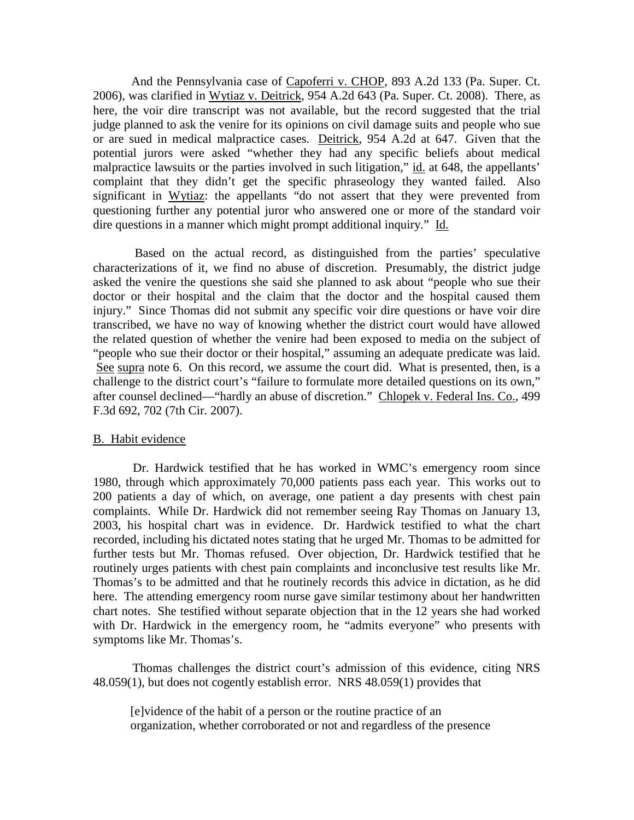And the Pennsylvania case of Capoferri v. CHOP, 893 A.2d 133 (Pa. Super. Ct. 2006), was clarified in Wytiaz v. Deitrick, 954 A.2d 643 (Pa. Super. Ct. 2008). There, as here, the voir dire transcript was not available, but the record suggested that the trial judge planned to ask the venire for its opinions on civil damage suits and people who sue or are sued in medical malpractice cases. Deitrick, 954 A.2d at 647. Given that the potential jurors were asked "whether they had any specific beliefs about medical malpractice lawsuits or the parties involved in such litigation," id. at 648, the appellants' complaint that they didn't get the specific phraseology they wanted failed. Also significant in Wytiaz: the appellants "do not assert that they were prevented from questioning further any potential juror who answered one or more of the standard voir dire questions in a manner which might prompt additional inquiry." Id.

 Based on the actual record, as distinguished from the parties' speculative characterizations of it, we find no abuse of discretion. Presumably, the district judge asked the venire the questions she said she planned to ask about "people who sue their doctor or their hospital and the claim that the doctor and the hospital caused them injury." Since Thomas did not submit any specific voir dire questions or have voir dire transcribed, we have no way of knowing whether the district court would have allowed the related question of whether the venire had been exposed to media on the subject of "people who sue their doctor or their hospital," assuming an adequate predicate was laid. See supra note 6. On this record, we assume the court did. What is presented, then, is a challenge to the district court's "failure to formulate more detailed questions on its own," after counsel declined—"hardly an abuse of discretion." Chlopek v. Federal Ins. Co., 499 F.3d 692, 702 (7th Cir. 2007).

#### B. Habit evidence

 Dr. Hardwick testified that he has worked in WMC's emergency room since 1980, through which approximately 70,000 patients pass each year. This works out to 200 patients a day of which, on average, one patient a day presents with chest pain complaints. While Dr. Hardwick did not remember seeing Ray Thomas on January 13, 2003, his hospital chart was in evidence. Dr. Hardwick testified to what the chart recorded, including his dictated notes stating that he urged Mr. Thomas to be admitted for further tests but Mr. Thomas refused. Over objection, Dr. Hardwick testified that he routinely urges patients with chest pain complaints and inconclusive test results like Mr. Thomas's to be admitted and that he routinely records this advice in dictation, as he did here. The attending emergency room nurse gave similar testimony about her handwritten chart notes. She testified without separate objection that in the 12 years she had worked with Dr. Hardwick in the emergency room, he "admits everyone" who presents with symptoms like Mr. Thomas's.

 Thomas challenges the district court's admission of this evidence, citing NRS 48.059(1), but does not cogently establish error. NRS 48.059(1) provides that

[e]vidence of the habit of a person or the routine practice of an organization, whether corroborated or not and regardless of the presence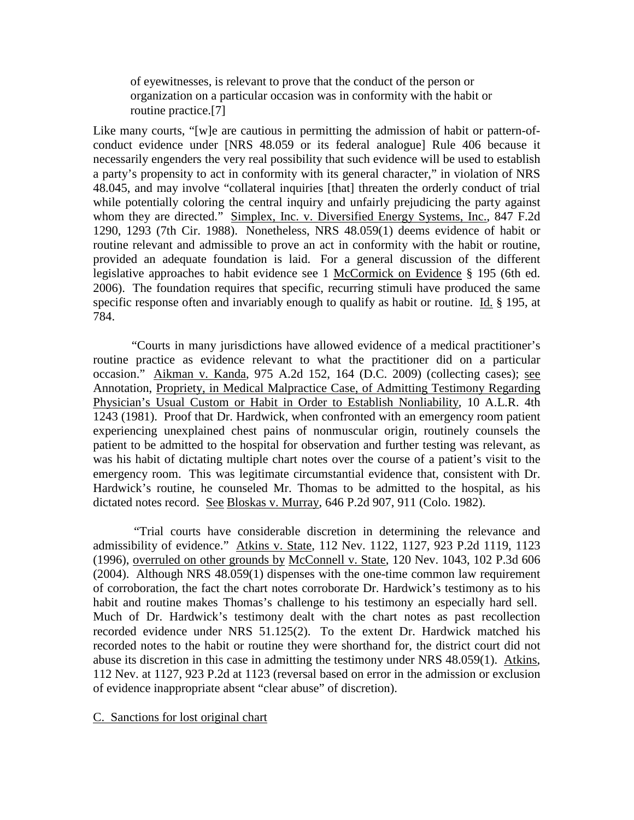of eyewitnesses, is relevant to prove that the conduct of the person or organization on a particular occasion was in conformity with the habit or routine practice.[7]

Like many courts, "[w]e are cautious in permitting the admission of habit or pattern-ofconduct evidence under [NRS 48.059 or its federal analogue] Rule 406 because it necessarily engenders the very real possibility that such evidence will be used to establish a party's propensity to act in conformity with its general character," in violation of NRS 48.045, and may involve "collateral inquiries [that] threaten the orderly conduct of trial while potentially coloring the central inquiry and unfairly prejudicing the party against whom they are directed." Simplex, Inc. v. Diversified Energy Systems, Inc., 847 F.2d 1290, 1293 (7th Cir. 1988). Nonetheless, NRS 48.059(1) deems evidence of habit or routine relevant and admissible to prove an act in conformity with the habit or routine, provided an adequate foundation is laid. For a general discussion of the different legislative approaches to habit evidence see 1 McCormick on Evidence § 195 (6th ed. 2006). The foundation requires that specific, recurring stimuli have produced the same specific response often and invariably enough to qualify as habit or routine. Id. § 195, at 784.

 "Courts in many jurisdictions have allowed evidence of a medical practitioner's routine practice as evidence relevant to what the practitioner did on a particular occasion." Aikman v. Kanda, 975 A.2d 152, 164 (D.C. 2009) (collecting cases); see Annotation, Propriety, in Medical Malpractice Case, of Admitting Testimony Regarding Physician's Usual Custom or Habit in Order to Establish Nonliability, 10 A.L.R. 4th 1243 (1981). Proof that Dr. Hardwick, when confronted with an emergency room patient experiencing unexplained chest pains of nonmuscular origin, routinely counsels the patient to be admitted to the hospital for observation and further testing was relevant, as was his habit of dictating multiple chart notes over the course of a patient's visit to the emergency room. This was legitimate circumstantial evidence that, consistent with Dr. Hardwick's routine, he counseled Mr. Thomas to be admitted to the hospital, as his dictated notes record. See Bloskas v. Murray, 646 P.2d 907, 911 (Colo. 1982).

 "Trial courts have considerable discretion in determining the relevance and admissibility of evidence." Atkins v. State, 112 Nev. 1122, 1127, 923 P.2d 1119, 1123 (1996), overruled on other grounds by McConnell v. State, 120 Nev. 1043, 102 P.3d 606 (2004). Although NRS 48.059(1) dispenses with the one-time common law requirement of corroboration, the fact the chart notes corroborate Dr. Hardwick's testimony as to his habit and routine makes Thomas's challenge to his testimony an especially hard sell. Much of Dr. Hardwick's testimony dealt with the chart notes as past recollection recorded evidence under NRS 51.125(2). To the extent Dr. Hardwick matched his recorded notes to the habit or routine they were shorthand for, the district court did not abuse its discretion in this case in admitting the testimony under NRS 48.059(1). Atkins, 112 Nev. at 1127, 923 P.2d at 1123 (reversal based on error in the admission or exclusion of evidence inappropriate absent "clear abuse" of discretion).

## C. Sanctions for lost original chart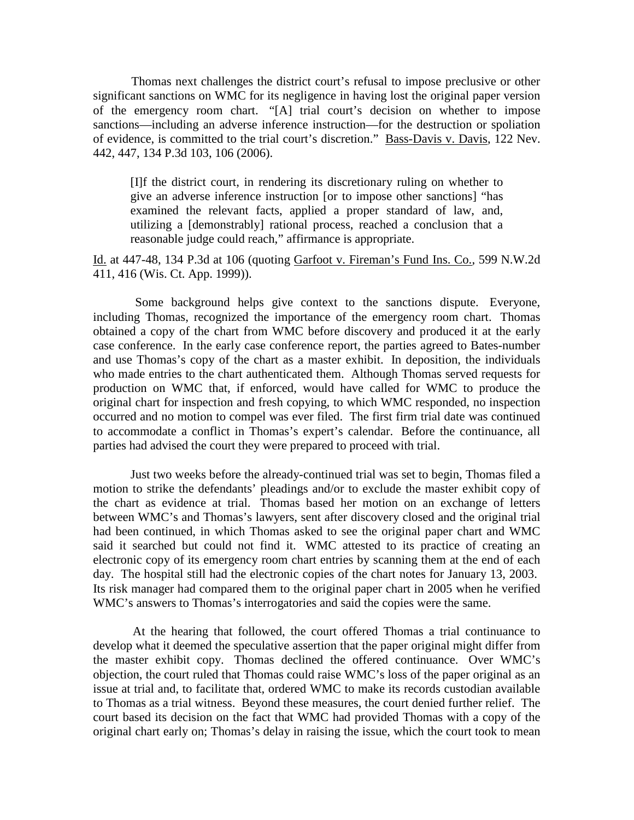Thomas next challenges the district court's refusal to impose preclusive or other significant sanctions on WMC for its negligence in having lost the original paper version of the emergency room chart. "[A] trial court's decision on whether to impose sanctions—including an adverse inference instruction—for the destruction or spoliation of evidence, is committed to the trial court's discretion." Bass-Davis v. Davis, 122 Nev. 442, 447, 134 P.3d 103, 106 (2006).

[I]f the district court, in rendering its discretionary ruling on whether to give an adverse inference instruction [or to impose other sanctions] "has examined the relevant facts, applied a proper standard of law, and, utilizing a [demonstrably] rational process, reached a conclusion that a reasonable judge could reach," affirmance is appropriate.

## Id. at 447-48, 134 P.3d at 106 (quoting Garfoot v. Fireman's Fund Ins. Co., 599 N.W.2d 411, 416 (Wis. Ct. App. 1999)).

 Some background helps give context to the sanctions dispute. Everyone, including Thomas, recognized the importance of the emergency room chart. Thomas obtained a copy of the chart from WMC before discovery and produced it at the early case conference. In the early case conference report, the parties agreed to Bates-number and use Thomas's copy of the chart as a master exhibit. In deposition, the individuals who made entries to the chart authenticated them. Although Thomas served requests for production on WMC that, if enforced, would have called for WMC to produce the original chart for inspection and fresh copying, to which WMC responded, no inspection occurred and no motion to compel was ever filed. The first firm trial date was continued to accommodate a conflict in Thomas's expert's calendar. Before the continuance, all parties had advised the court they were prepared to proceed with trial.

 Just two weeks before the already-continued trial was set to begin, Thomas filed a motion to strike the defendants' pleadings and/or to exclude the master exhibit copy of the chart as evidence at trial. Thomas based her motion on an exchange of letters between WMC's and Thomas's lawyers, sent after discovery closed and the original trial had been continued, in which Thomas asked to see the original paper chart and WMC said it searched but could not find it. WMC attested to its practice of creating an electronic copy of its emergency room chart entries by scanning them at the end of each day. The hospital still had the electronic copies of the chart notes for January 13, 2003. Its risk manager had compared them to the original paper chart in 2005 when he verified WMC's answers to Thomas's interrogatories and said the copies were the same.

 At the hearing that followed, the court offered Thomas a trial continuance to develop what it deemed the speculative assertion that the paper original might differ from the master exhibit copy. Thomas declined the offered continuance. Over WMC's objection, the court ruled that Thomas could raise WMC's loss of the paper original as an issue at trial and, to facilitate that, ordered WMC to make its records custodian available to Thomas as a trial witness. Beyond these measures, the court denied further relief. The court based its decision on the fact that WMC had provided Thomas with a copy of the original chart early on; Thomas's delay in raising the issue, which the court took to mean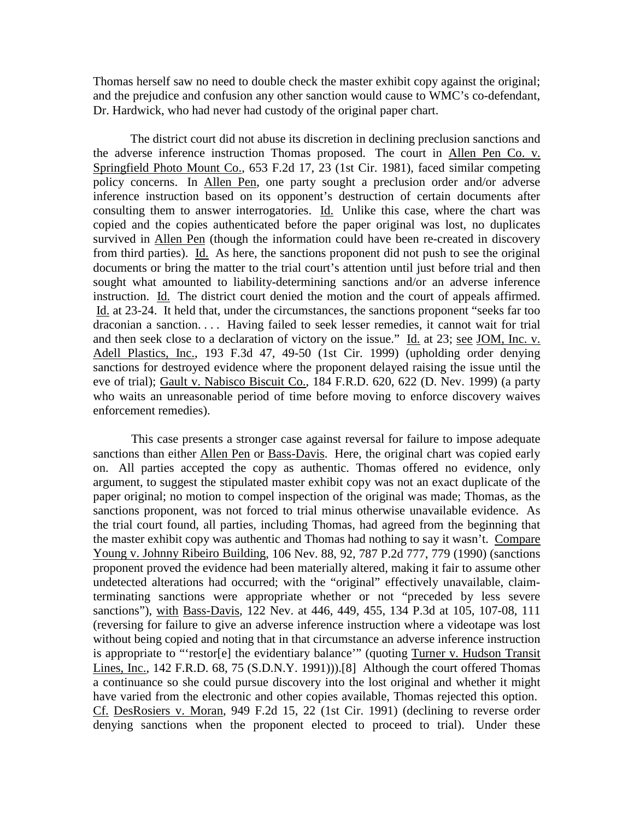Thomas herself saw no need to double check the master exhibit copy against the original; and the prejudice and confusion any other sanction would cause to WMC's co-defendant, Dr. Hardwick, who had never had custody of the original paper chart.

 The district court did not abuse its discretion in declining preclusion sanctions and the adverse inference instruction Thomas proposed. The court in Allen Pen Co. v. Springfield Photo Mount Co., 653 F.2d 17, 23 (1st Cir. 1981), faced similar competing policy concerns. In Allen Pen, one party sought a preclusion order and/or adverse inference instruction based on its opponent's destruction of certain documents after consulting them to answer interrogatories. Id. Unlike this case, where the chart was copied and the copies authenticated before the paper original was lost, no duplicates survived in Allen Pen (though the information could have been re-created in discovery from third parties). Id. As here, the sanctions proponent did not push to see the original documents or bring the matter to the trial court's attention until just before trial and then sought what amounted to liability-determining sanctions and/or an adverse inference instruction. Id. The district court denied the motion and the court of appeals affirmed. Id. at 23-24. It held that, under the circumstances, the sanctions proponent "seeks far too draconian a sanction. . . . Having failed to seek lesser remedies, it cannot wait for trial and then seek close to a declaration of victory on the issue." Id. at 23; see JOM, Inc. v. Adell Plastics, Inc., 193 F.3d 47, 49-50 (1st Cir. 1999) (upholding order denying sanctions for destroyed evidence where the proponent delayed raising the issue until the eve of trial); Gault v. Nabisco Biscuit Co., 184 F.R.D. 620, 622 (D. Nev. 1999) (a party who waits an unreasonable period of time before moving to enforce discovery waives enforcement remedies).

 This case presents a stronger case against reversal for failure to impose adequate sanctions than either Allen Pen or Bass-Davis. Here, the original chart was copied early on. All parties accepted the copy as authentic. Thomas offered no evidence, only argument, to suggest the stipulated master exhibit copy was not an exact duplicate of the paper original; no motion to compel inspection of the original was made; Thomas, as the sanctions proponent, was not forced to trial minus otherwise unavailable evidence. As the trial court found, all parties, including Thomas, had agreed from the beginning that the master exhibit copy was authentic and Thomas had nothing to say it wasn't. Compare Young v. Johnny Ribeiro Building, 106 Nev. 88, 92, 787 P.2d 777, 779 (1990) (sanctions proponent proved the evidence had been materially altered, making it fair to assume other undetected alterations had occurred; with the "original" effectively unavailable, claimterminating sanctions were appropriate whether or not "preceded by less severe sanctions"), with Bass-Davis, 122 Nev. at 446, 449, 455, 134 P.3d at 105, 107-08, 111 (reversing for failure to give an adverse inference instruction where a videotape was lost without being copied and noting that in that circumstance an adverse inference instruction is appropriate to "'restor[e] the evidentiary balance'" (quoting Turner v. Hudson Transit Lines, Inc., 142 F.R.D. 68, 75 (S.D.N.Y. 1991))).[8] Although the court offered Thomas a continuance so she could pursue discovery into the lost original and whether it might have varied from the electronic and other copies available, Thomas rejected this option. Cf. DesRosiers v. Moran, 949 F.2d 15, 22 (1st Cir. 1991) (declining to reverse order denying sanctions when the proponent elected to proceed to trial). Under these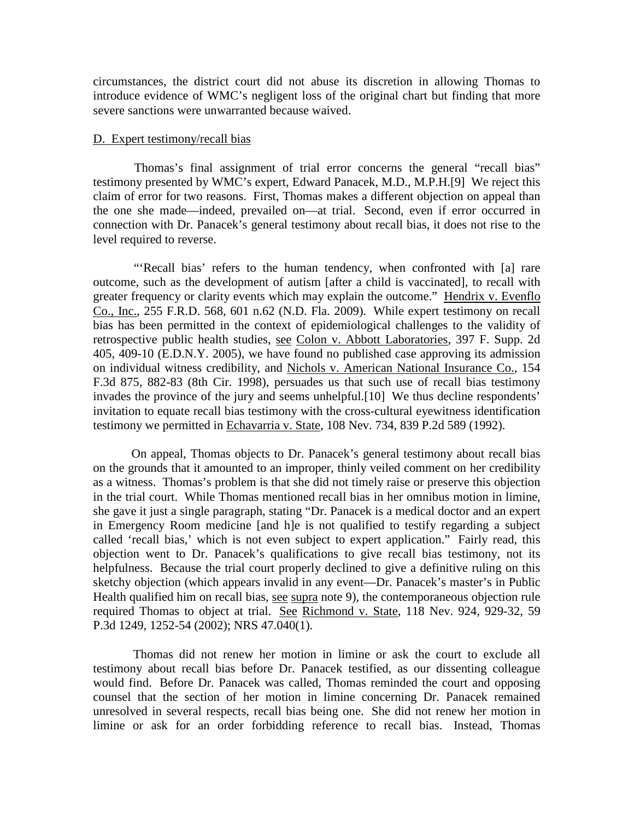circumstances, the district court did not abuse its discretion in allowing Thomas to introduce evidence of WMC's negligent loss of the original chart but finding that more severe sanctions were unwarranted because waived.

#### D. Expert testimony/recall bias

 Thomas's final assignment of trial error concerns the general "recall bias" testimony presented by WMC's expert, Edward Panacek, M.D., M.P.H.[9] We reject this claim of error for two reasons. First, Thomas makes a different objection on appeal than the one she made—indeed, prevailed on—at trial. Second, even if error occurred in connection with Dr. Panacek's general testimony about recall bias, it does not rise to the level required to reverse.

"'Recall bias' refers to the human tendency, when confronted with [a] rare outcome, such as the development of autism [after a child is vaccinated], to recall with greater frequency or clarity events which may explain the outcome." Hendrix v. Evenflo Co., Inc., 255 F.R.D. 568, 601 n.62 (N.D. Fla. 2009). While expert testimony on recall bias has been permitted in the context of epidemiological challenges to the validity of retrospective public health studies, see Colon v. Abbott Laboratories, 397 F. Supp. 2d 405, 409-10 (E.D.N.Y. 2005), we have found no published case approving its admission on individual witness credibility, and Nichols v. American National Insurance Co., 154 F.3d 875, 882-83 (8th Cir. 1998), persuades us that such use of recall bias testimony invades the province of the jury and seems unhelpful.[10] We thus decline respondents' invitation to equate recall bias testimony with the cross-cultural eyewitness identification testimony we permitted in Echavarria v. State, 108 Nev. 734, 839 P.2d 589 (1992).

 On appeal, Thomas objects to Dr. Panacek's general testimony about recall bias on the grounds that it amounted to an improper, thinly veiled comment on her credibility as a witness. Thomas's problem is that she did not timely raise or preserve this objection in the trial court. While Thomas mentioned recall bias in her omnibus motion in limine, she gave it just a single paragraph, stating "Dr. Panacek is a medical doctor and an expert in Emergency Room medicine [and h]e is not qualified to testify regarding a subject called 'recall bias,' which is not even subject to expert application." Fairly read, this objection went to Dr. Panacek's qualifications to give recall bias testimony, not its helpfulness. Because the trial court properly declined to give a definitive ruling on this sketchy objection (which appears invalid in any event—Dr. Panacek's master's in Public Health qualified him on recall bias, see supra note 9), the contemporaneous objection rule required Thomas to object at trial. See Richmond v. State, 118 Nev. 924, 929-32, 59 P.3d 1249, 1252-54 (2002); NRS 47.040(1).

 Thomas did not renew her motion in limine or ask the court to exclude all testimony about recall bias before Dr. Panacek testified, as our dissenting colleague would find. Before Dr. Panacek was called, Thomas reminded the court and opposing counsel that the section of her motion in limine concerning Dr. Panacek remained unresolved in several respects, recall bias being one. She did not renew her motion in limine or ask for an order forbidding reference to recall bias. Instead, Thomas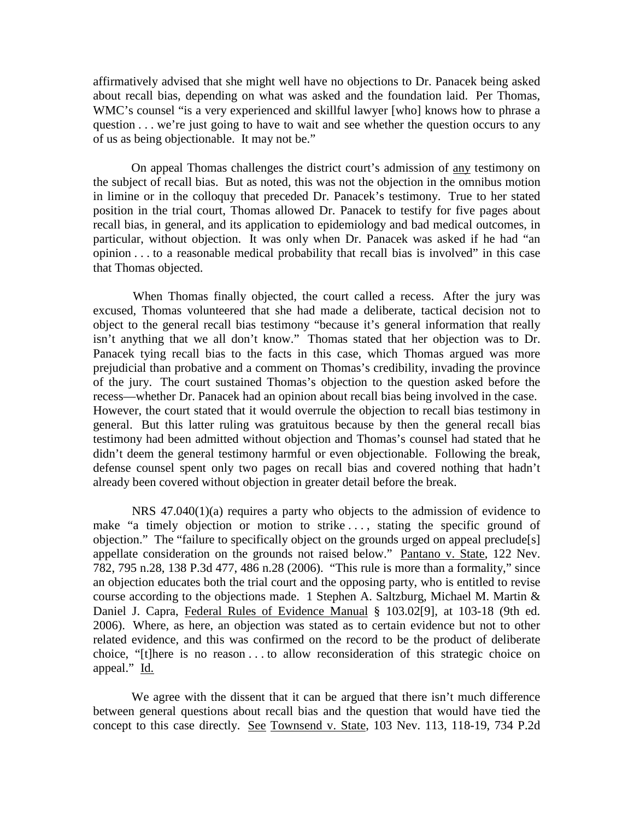affirmatively advised that she might well have no objections to Dr. Panacek being asked about recall bias, depending on what was asked and the foundation laid. Per Thomas, WMC's counsel "is a very experienced and skillful lawyer [who] knows how to phrase a question . . . we're just going to have to wait and see whether the question occurs to any of us as being objectionable. It may not be."

 On appeal Thomas challenges the district court's admission of any testimony on the subject of recall bias. But as noted, this was not the objection in the omnibus motion in limine or in the colloquy that preceded Dr. Panacek's testimony. True to her stated position in the trial court, Thomas allowed Dr. Panacek to testify for five pages about recall bias, in general, and its application to epidemiology and bad medical outcomes, in particular, without objection. It was only when Dr. Panacek was asked if he had "an opinion . . . to a reasonable medical probability that recall bias is involved" in this case that Thomas objected.

 When Thomas finally objected, the court called a recess. After the jury was excused, Thomas volunteered that she had made a deliberate, tactical decision not to object to the general recall bias testimony "because it's general information that really isn't anything that we all don't know." Thomas stated that her objection was to Dr. Panacek tying recall bias to the facts in this case, which Thomas argued was more prejudicial than probative and a comment on Thomas's credibility, invading the province of the jury. The court sustained Thomas's objection to the question asked before the recess—whether Dr. Panacek had an opinion about recall bias being involved in the case. However, the court stated that it would overrule the objection to recall bias testimony in general. But this latter ruling was gratuitous because by then the general recall bias testimony had been admitted without objection and Thomas's counsel had stated that he didn't deem the general testimony harmful or even objectionable. Following the break, defense counsel spent only two pages on recall bias and covered nothing that hadn't already been covered without objection in greater detail before the break.

 NRS 47.040(1)(a) requires a party who objects to the admission of evidence to make "a timely objection or motion to strike ..., stating the specific ground of objection." The "failure to specifically object on the grounds urged on appeal preclude[s] appellate consideration on the grounds not raised below." Pantano v. State, 122 Nev. 782, 795 n.28, 138 P.3d 477, 486 n.28 (2006). "This rule is more than a formality," since an objection educates both the trial court and the opposing party, who is entitled to revise course according to the objections made. 1 Stephen A. Saltzburg, Michael M. Martin & Daniel J. Capra, Federal Rules of Evidence Manual § 103.02[9], at 103-18 (9th ed. 2006). Where, as here, an objection was stated as to certain evidence but not to other related evidence, and this was confirmed on the record to be the product of deliberate choice, "[t]here is no reason . . . to allow reconsideration of this strategic choice on appeal." Id.

We agree with the dissent that it can be argued that there isn't much difference between general questions about recall bias and the question that would have tied the concept to this case directly. See Townsend v. State, 103 Nev. 113, 118-19, 734 P.2d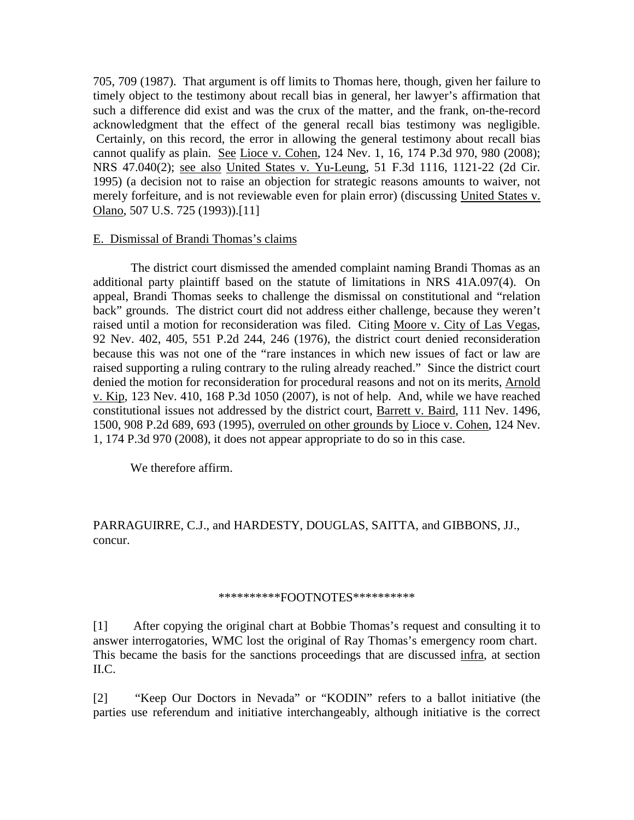705, 709 (1987). That argument is off limits to Thomas here, though, given her failure to timely object to the testimony about recall bias in general, her lawyer's affirmation that such a difference did exist and was the crux of the matter, and the frank, on-the-record acknowledgment that the effect of the general recall bias testimony was negligible. Certainly, on this record, the error in allowing the general testimony about recall bias cannot qualify as plain. See Lioce v. Cohen, 124 Nev. 1, 16, 174 P.3d 970, 980 (2008); NRS 47.040(2); see also United States v. Yu-Leung, 51 F.3d 1116, 1121-22 (2d Cir. 1995) (a decision not to raise an objection for strategic reasons amounts to waiver, not merely forfeiture, and is not reviewable even for plain error) (discussing United States v. Olano, 507 U.S. 725 (1993)).[11]

## E. Dismissal of Brandi Thomas's claims

 The district court dismissed the amended complaint naming Brandi Thomas as an additional party plaintiff based on the statute of limitations in NRS 41A.097(4). On appeal, Brandi Thomas seeks to challenge the dismissal on constitutional and "relation back" grounds. The district court did not address either challenge, because they weren't raised until a motion for reconsideration was filed. Citing Moore v. City of Las Vegas, 92 Nev. 402, 405, 551 P.2d 244, 246 (1976), the district court denied reconsideration because this was not one of the "rare instances in which new issues of fact or law are raised supporting a ruling contrary to the ruling already reached." Since the district court denied the motion for reconsideration for procedural reasons and not on its merits, Arnold v. Kip, 123 Nev. 410, 168 P.3d 1050 (2007), is not of help. And, while we have reached constitutional issues not addressed by the district court, Barrett v. Baird, 111 Nev. 1496, 1500, 908 P.2d 689, 693 (1995), overruled on other grounds by Lioce v. Cohen, 124 Nev. 1, 174 P.3d 970 (2008), it does not appear appropriate to do so in this case.

We therefore affirm.

PARRAGUIRRE, C.J., and HARDESTY, DOUGLAS, SAITTA, and GIBBONS, JJ., concur.

#### \*\*\*\*\*\*\*\*\*\*\*FOOTNOTES\*\*\*\*\*\*\*\*\*\*\*

[1] After copying the original chart at Bobbie Thomas's request and consulting it to answer interrogatories, WMC lost the original of Ray Thomas's emergency room chart. This became the basis for the sanctions proceedings that are discussed infra, at section II.C.

[2] "Keep Our Doctors in Nevada" or "KODIN" refers to a ballot initiative (the parties use referendum and initiative interchangeably, although initiative is the correct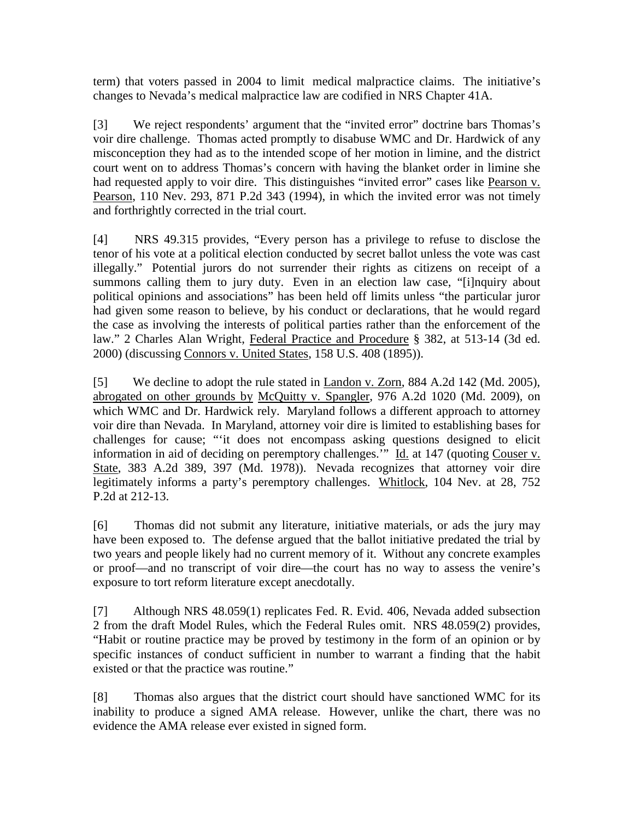term) that voters passed in 2004 to limit medical malpractice claims. The initiative's changes to Nevada's medical malpractice law are codified in NRS Chapter 41A.

[3] We reject respondents' argument that the "invited error" doctrine bars Thomas's voir dire challenge. Thomas acted promptly to disabuse WMC and Dr. Hardwick of any misconception they had as to the intended scope of her motion in limine, and the district court went on to address Thomas's concern with having the blanket order in limine she had requested apply to voir dire. This distinguishes "invited error" cases like Pearson v. Pearson, 110 Nev. 293, 871 P.2d 343 (1994), in which the invited error was not timely and forthrightly corrected in the trial court.

[4] NRS 49.315 provides, "Every person has a privilege to refuse to disclose the tenor of his vote at a political election conducted by secret ballot unless the vote was cast illegally." Potential jurors do not surrender their rights as citizens on receipt of a summons calling them to jury duty. Even in an election law case, "[i]nquiry about political opinions and associations" has been held off limits unless "the particular juror had given some reason to believe, by his conduct or declarations, that he would regard the case as involving the interests of political parties rather than the enforcement of the law." 2 Charles Alan Wright, Federal Practice and Procedure § 382, at 513-14 (3d ed. 2000) (discussing Connors v. United States, 158 U.S. 408 (1895)).

[5] We decline to adopt the rule stated in Landon v. Zorn, 884 A.2d 142 (Md. 2005), abrogated on other grounds by McQuitty v. Spangler, 976 A.2d 1020 (Md. 2009), on which WMC and Dr. Hardwick rely. Maryland follows a different approach to attorney voir dire than Nevada. In Maryland, attorney voir dire is limited to establishing bases for challenges for cause; "'it does not encompass asking questions designed to elicit information in aid of deciding on peremptory challenges." Id. at 147 (quoting Couser v. State, 383 A.2d 389, 397 (Md. 1978)). Nevada recognizes that attorney voir dire legitimately informs a party's peremptory challenges. Whitlock, 104 Nev. at 28, 752 P.2d at 212-13.

[6] Thomas did not submit any literature, initiative materials, or ads the jury may have been exposed to. The defense argued that the ballot initiative predated the trial by two years and people likely had no current memory of it. Without any concrete examples or proof—and no transcript of voir dire—the court has no way to assess the venire's exposure to tort reform literature except anecdotally.

[7] Although NRS 48.059(1) replicates Fed. R. Evid. 406, Nevada added subsection 2 from the draft Model Rules, which the Federal Rules omit. NRS 48.059(2) provides, "Habit or routine practice may be proved by testimony in the form of an opinion or by specific instances of conduct sufficient in number to warrant a finding that the habit existed or that the practice was routine."

[8] Thomas also argues that the district court should have sanctioned WMC for its inability to produce a signed AMA release. However, unlike the chart, there was no evidence the AMA release ever existed in signed form.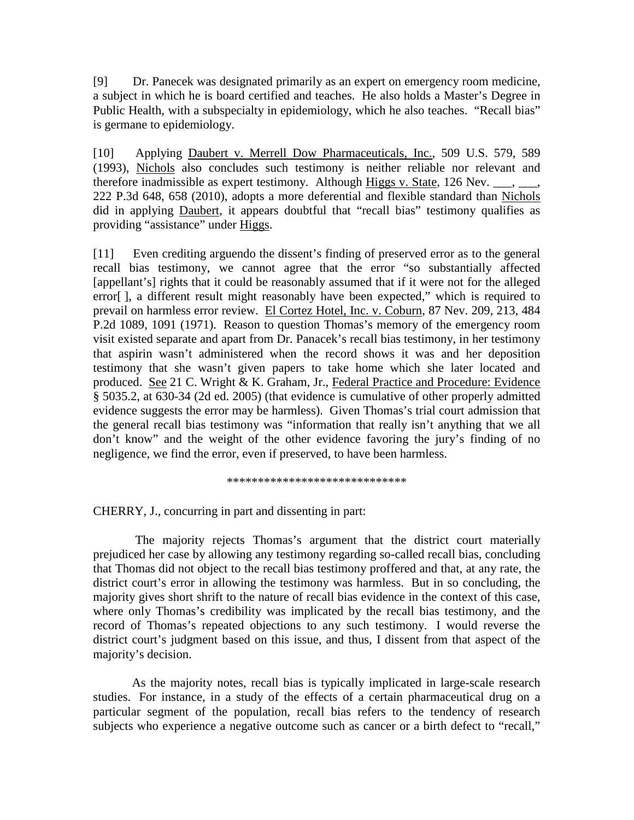[9] Dr. Panecek was designated primarily as an expert on emergency room medicine, a subject in which he is board certified and teaches. He also holds a Master's Degree in Public Health, with a subspecialty in epidemiology, which he also teaches. "Recall bias" is germane to epidemiology.

[10] Applying Daubert v. Merrell Dow Pharmaceuticals, Inc., 509 U.S. 579, 589 (1993), Nichols also concludes such testimony is neither reliable nor relevant and therefore inadmissible as expert testimony. Although Higgs v. State,  $126$  Nev. 222 P.3d 648, 658 (2010), adopts a more deferential and flexible standard than Nichols did in applying Daubert, it appears doubtful that "recall bias" testimony qualifies as providing "assistance" under Higgs.

[11] Even crediting arguendo the dissent's finding of preserved error as to the general recall bias testimony, we cannot agree that the error "so substantially affected [appellant's] rights that it could be reasonably assumed that if it were not for the alleged error[ ], a different result might reasonably have been expected," which is required to prevail on harmless error review. El Cortez Hotel, Inc. v. Coburn, 87 Nev. 209, 213, 484 P.2d 1089, 1091 (1971). Reason to question Thomas's memory of the emergency room visit existed separate and apart from Dr. Panacek's recall bias testimony, in her testimony that aspirin wasn't administered when the record shows it was and her deposition testimony that she wasn't given papers to take home which she later located and produced. See 21 C. Wright & K. Graham, Jr., Federal Practice and Procedure: Evidence § 5035.2, at 630-34 (2d ed. 2005) (that evidence is cumulative of other properly admitted evidence suggests the error may be harmless). Given Thomas's trial court admission that the general recall bias testimony was "information that really isn't anything that we all don't know" and the weight of the other evidence favoring the jury's finding of no negligence, we find the error, even if preserved, to have been harmless.

\*\*\*\*\*\*\*\*\*\*\*\*\*\*\*\*\*\*\*\*\*\*\*\*\*\*\*\*\*

CHERRY, J., concurring in part and dissenting in part:

 The majority rejects Thomas's argument that the district court materially prejudiced her case by allowing any testimony regarding so-called recall bias, concluding that Thomas did not object to the recall bias testimony proffered and that, at any rate, the district court's error in allowing the testimony was harmless. But in so concluding, the majority gives short shrift to the nature of recall bias evidence in the context of this case, where only Thomas's credibility was implicated by the recall bias testimony, and the record of Thomas's repeated objections to any such testimony. I would reverse the district court's judgment based on this issue, and thus, I dissent from that aspect of the majority's decision.

 As the majority notes, recall bias is typically implicated in large-scale research studies. For instance, in a study of the effects of a certain pharmaceutical drug on a particular segment of the population, recall bias refers to the tendency of research subjects who experience a negative outcome such as cancer or a birth defect to "recall,"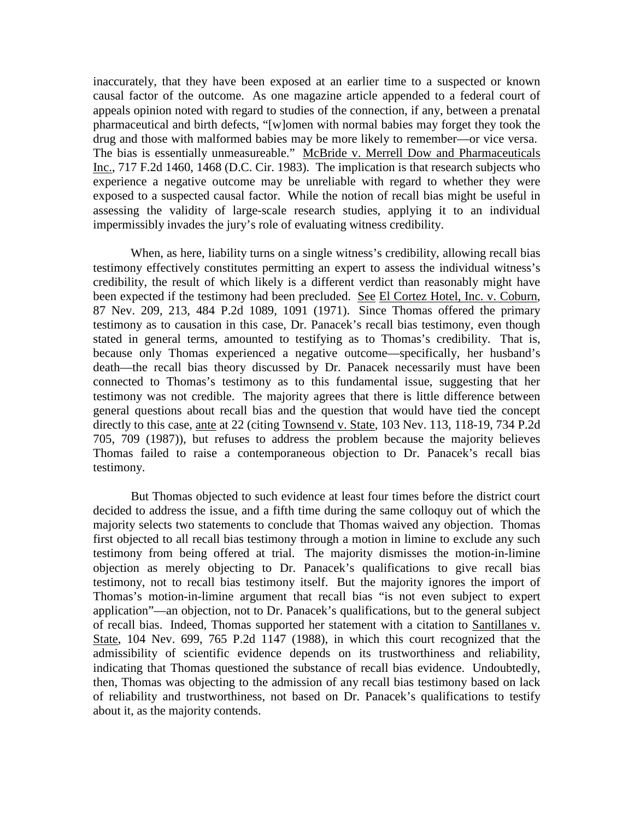inaccurately, that they have been exposed at an earlier time to a suspected or known causal factor of the outcome. As one magazine article appended to a federal court of appeals opinion noted with regard to studies of the connection, if any, between a prenatal pharmaceutical and birth defects, "[w]omen with normal babies may forget they took the drug and those with malformed babies may be more likely to remember—or vice versa. The bias is essentially unmeasureable." McBride v. Merrell Dow and Pharmaceuticals Inc., 717 F.2d 1460, 1468 (D.C. Cir. 1983). The implication is that research subjects who experience a negative outcome may be unreliable with regard to whether they were exposed to a suspected causal factor. While the notion of recall bias might be useful in assessing the validity of large-scale research studies, applying it to an individual impermissibly invades the jury's role of evaluating witness credibility.

 When, as here, liability turns on a single witness's credibility, allowing recall bias testimony effectively constitutes permitting an expert to assess the individual witness's credibility, the result of which likely is a different verdict than reasonably might have been expected if the testimony had been precluded. See El Cortez Hotel, Inc. v. Coburn, 87 Nev. 209, 213, 484 P.2d 1089, 1091 (1971). Since Thomas offered the primary testimony as to causation in this case, Dr. Panacek's recall bias testimony, even though stated in general terms, amounted to testifying as to Thomas's credibility. That is, because only Thomas experienced a negative outcome—specifically, her husband's death—the recall bias theory discussed by Dr. Panacek necessarily must have been connected to Thomas's testimony as to this fundamental issue, suggesting that her testimony was not credible. The majority agrees that there is little difference between general questions about recall bias and the question that would have tied the concept directly to this case, ante at 22 (citing Townsend v. State, 103 Nev. 113, 118-19, 734 P.2d 705, 709 (1987)), but refuses to address the problem because the majority believes Thomas failed to raise a contemporaneous objection to Dr. Panacek's recall bias testimony.

 But Thomas objected to such evidence at least four times before the district court decided to address the issue, and a fifth time during the same colloquy out of which the majority selects two statements to conclude that Thomas waived any objection. Thomas first objected to all recall bias testimony through a motion in limine to exclude any such testimony from being offered at trial. The majority dismisses the motion-in-limine objection as merely objecting to Dr. Panacek's qualifications to give recall bias testimony, not to recall bias testimony itself. But the majority ignores the import of Thomas's motion-in-limine argument that recall bias "is not even subject to expert application"—an objection, not to Dr. Panacek's qualifications, but to the general subject of recall bias. Indeed, Thomas supported her statement with a citation to Santillanes v. State, 104 Nev. 699, 765 P.2d 1147 (1988), in which this court recognized that the admissibility of scientific evidence depends on its trustworthiness and reliability, indicating that Thomas questioned the substance of recall bias evidence. Undoubtedly, then, Thomas was objecting to the admission of any recall bias testimony based on lack of reliability and trustworthiness, not based on Dr. Panacek's qualifications to testify about it, as the majority contends.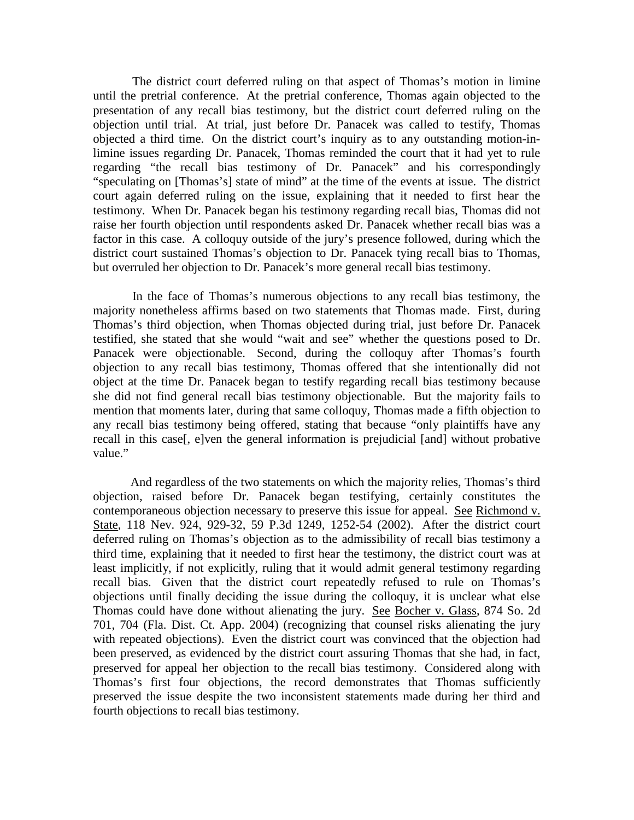The district court deferred ruling on that aspect of Thomas's motion in limine until the pretrial conference. At the pretrial conference, Thomas again objected to the presentation of any recall bias testimony, but the district court deferred ruling on the objection until trial. At trial, just before Dr. Panacek was called to testify, Thomas objected a third time. On the district court's inquiry as to any outstanding motion-inlimine issues regarding Dr. Panacek, Thomas reminded the court that it had yet to rule regarding "the recall bias testimony of Dr. Panacek" and his correspondingly "speculating on [Thomas's] state of mind" at the time of the events at issue. The district court again deferred ruling on the issue, explaining that it needed to first hear the testimony. When Dr. Panacek began his testimony regarding recall bias, Thomas did not raise her fourth objection until respondents asked Dr. Panacek whether recall bias was a factor in this case. A colloquy outside of the jury's presence followed, during which the district court sustained Thomas's objection to Dr. Panacek tying recall bias to Thomas, but overruled her objection to Dr. Panacek's more general recall bias testimony.

 In the face of Thomas's numerous objections to any recall bias testimony, the majority nonetheless affirms based on two statements that Thomas made. First, during Thomas's third objection, when Thomas objected during trial, just before Dr. Panacek testified, she stated that she would "wait and see" whether the questions posed to Dr. Panacek were objectionable. Second, during the colloquy after Thomas's fourth objection to any recall bias testimony, Thomas offered that she intentionally did not object at the time Dr. Panacek began to testify regarding recall bias testimony because she did not find general recall bias testimony objectionable. But the majority fails to mention that moments later, during that same colloquy, Thomas made a fifth objection to any recall bias testimony being offered, stating that because "only plaintiffs have any recall in this case[, e]ven the general information is prejudicial [and] without probative value."

 And regardless of the two statements on which the majority relies, Thomas's third objection, raised before Dr. Panacek began testifying, certainly constitutes the contemporaneous objection necessary to preserve this issue for appeal. See Richmond v. State, 118 Nev. 924, 929-32, 59 P.3d 1249, 1252-54 (2002). After the district court deferred ruling on Thomas's objection as to the admissibility of recall bias testimony a third time, explaining that it needed to first hear the testimony, the district court was at least implicitly, if not explicitly, ruling that it would admit general testimony regarding recall bias. Given that the district court repeatedly refused to rule on Thomas's objections until finally deciding the issue during the colloquy, it is unclear what else Thomas could have done without alienating the jury. See Bocher v. Glass, 874 So. 2d 701, 704 (Fla. Dist. Ct. App. 2004) (recognizing that counsel risks alienating the jury with repeated objections). Even the district court was convinced that the objection had been preserved, as evidenced by the district court assuring Thomas that she had, in fact, preserved for appeal her objection to the recall bias testimony. Considered along with Thomas's first four objections, the record demonstrates that Thomas sufficiently preserved the issue despite the two inconsistent statements made during her third and fourth objections to recall bias testimony.